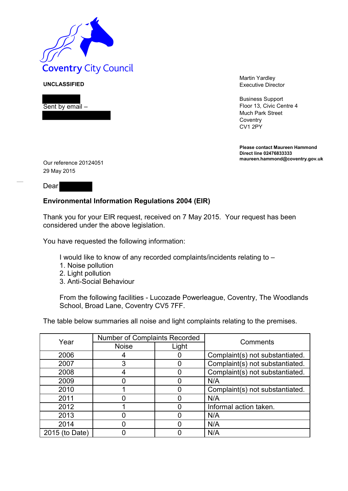

**UNCLASSIFIED**



Martin Yardley Executive Director

Business Support Floor 13, Civic Centre 4 Much Park Street **Coventry** CV1 2PY

**Please contact Maureen Hammond Direct line 02476833333 maureen.hammond@coventry.gov.uk**

Our reference 20124051 29 May 2015

**Dear** 

## **Environmental Information Regulations 2004 (EIR)**

Thank you for your EIR request, received on 7 May 2015. Your request has been considered under the above legislation.

You have requested the following information:

I would like to know of any recorded complaints/incidents relating to –

- 1. Noise pollution
- 2. Light pollution
- 3. Anti-Social Behaviour

From the following facilities - Lucozade Powerleague, Coventry, The Woodlands School, Broad Lane, Coventry CV5 7FF.

The table below summaries all noise and light complaints relating to the premises.

| Year           | <b>Number of Complaints Recorded</b> |       | Comments                        |
|----------------|--------------------------------------|-------|---------------------------------|
|                | <b>Noise</b>                         | Light |                                 |
| 2006           |                                      |       | Complaint(s) not substantiated. |
| 2007           | 3                                    |       | Complaint(s) not substantiated. |
| 2008           |                                      |       | Complaint(s) not substantiated. |
| 2009           |                                      |       | N/A                             |
| 2010           |                                      |       | Complaint(s) not substantiated. |
| 2011           |                                      |       | N/A                             |
| 2012           |                                      |       | Informal action taken.          |
| 2013           |                                      |       | N/A                             |
| 2014           |                                      |       | N/A                             |
| 2015 (to Date) |                                      |       | N/A                             |